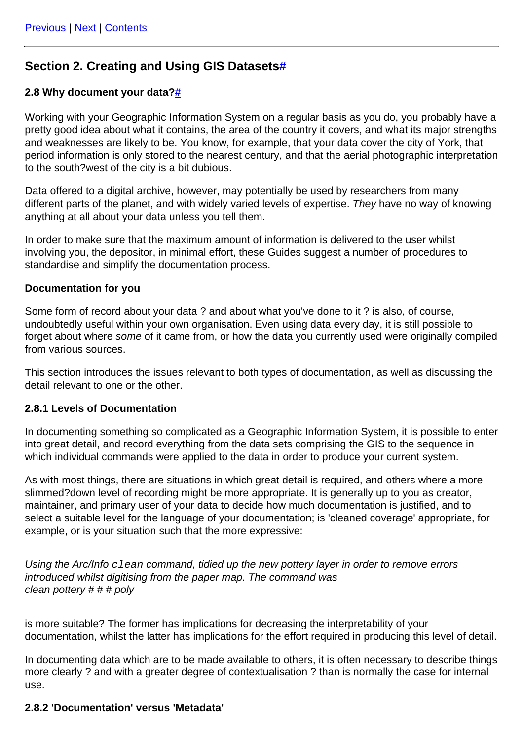# **Section 2. Creating and Using GIS Datasets[#](https://guides.archaeologydataservice.ac.uk:443/#section-Gis_2-8-Section2.CreatingAndUsingGISDatasets)**

# **2.8 Why document your data[?#](https://guides.archaeologydataservice.ac.uk:443/#section-Gis_2-8-2.8WhyDocumentYourData)**

Working with your Geographic Information System on a regular basis as you do, you probably have a pretty good idea about what it contains, the area of the country it covers, and what its major strengths and weaknesses are likely to be. You know, for example, that your data cover the city of York, that period information is only stored to the nearest century, and that the aerial photographic interpretation to the south?west of the city is a bit dubious.

Data offered to a digital archive, however, may potentially be used by researchers from many different parts of the planet, and with widely varied levels of expertise. They have no way of knowing anything at all about your data unless you tell them.

In order to make sure that the maximum amount of information is delivered to the user whilst involving you, the depositor, in minimal effort, these Guides suggest a number of procedures to standardise and simplify the documentation process.

## **Documentation for you**

Some form of record about your data ? and about what you've done to it ? is also, of course, undoubtedly useful within your own organisation. Even using data every day, it is still possible to forget about where some of it came from, or how the data you currently used were originally compiled from various sources.

This section introduces the issues relevant to both types of documentation, as well as discussing the detail relevant to one or the other.

## **2.8.1 Levels of Documentation**

In documenting something so complicated as a Geographic Information System, it is possible to enter into great detail, and record everything from the data sets comprising the GIS to the sequence in which individual commands were applied to the data in order to produce your current system.

As with most things, there are situations in which great detail is required, and others where a more slimmed?down level of recording might be more appropriate. It is generally up to you as creator, maintainer, and primary user of your data to decide how much documentation is justified, and to select a suitable level for the language of your documentation; is 'cleaned coverage' appropriate, for example, or is your situation such that the more expressive:

Using the Arc/Info  $clean$  command, tidied up the new pottery layer in order to remove errors introduced whilst digitising from the paper map. The command was clean pottery # # # poly

is more suitable? The former has implications for decreasing the interpretability of your documentation, whilst the latter has implications for the effort required in producing this level of detail.

In documenting data which are to be made available to others, it is often necessary to describe things more clearly ? and with a greater degree of contextualisation ? than is normally the case for internal use.

## **2.8.2 'Documentation' versus 'Metadata'**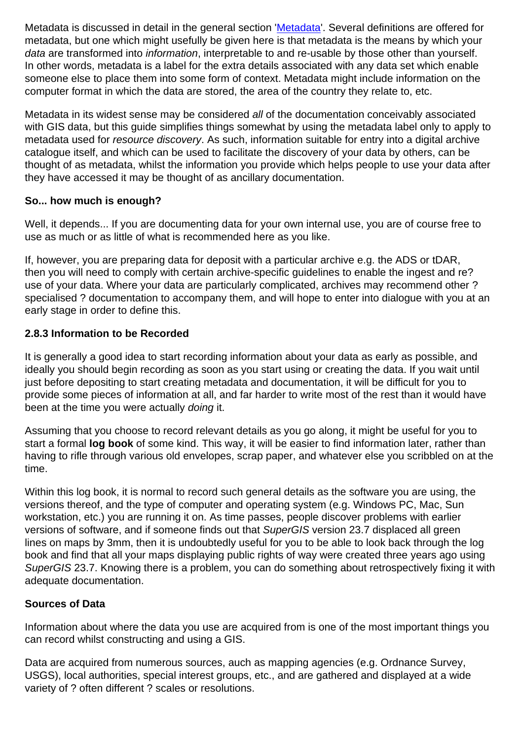Metadata is discussed in detail in the general section '[Metadata](https://guides.archaeologydataservice.ac.uk:443//g2gp/CreateData_1-2)'. Several definitions are offered for metadata, but one which might usefully be given here is that metadata is the means by which your data are transformed into information, interpretable to and re-usable by those other than yourself. In other words, metadata is a label for the extra details associated with any data set which enable someone else to place them into some form of context. Metadata might include information on the computer format in which the data are stored, the area of the country they relate to, etc.

Metadata in its widest sense may be considered all of the documentation conceivably associated with GIS data, but this guide simplifies things somewhat by using the metadata label only to apply to metadata used for resource discovery. As such, information suitable for entry into a digital archive catalogue itself, and which can be used to facilitate the discovery of your data by others, can be thought of as metadata, whilst the information you provide which helps people to use your data after they have accessed it may be thought of as ancillary documentation.

# **So... how much is enough?**

Well, it depends... If you are documenting data for your own internal use, you are of course free to use as much or as little of what is recommended here as you like.

If, however, you are preparing data for deposit with a particular archive e.g. the ADS or tDAR, then you will need to comply with certain archive-specific guidelines to enable the ingest and re? use of your data. Where your data are particularly complicated, archives may recommend other ? specialised ? documentation to accompany them, and will hope to enter into dialogue with you at an early stage in order to define this.

## **2.8.3 Information to be Recorded**

It is generally a good idea to start recording information about your data as early as possible, and ideally you should begin recording as soon as you start using or creating the data. If you wait until just before depositing to start creating metadata and documentation, it will be difficult for you to provide some pieces of information at all, and far harder to write most of the rest than it would have been at the time you were actually doing it.

Assuming that you choose to record relevant details as you go along, it might be useful for you to start a formal **log book** of some kind. This way, it will be easier to find information later, rather than having to rifle through various old envelopes, scrap paper, and whatever else you scribbled on at the time.

Within this log book, it is normal to record such general details as the software you are using, the versions thereof, and the type of computer and operating system (e.g. Windows PC, Mac, Sun workstation, etc.) you are running it on. As time passes, people discover problems with earlier versions of software, and if someone finds out that SuperGIS version 23.7 displaced all green lines on maps by 3mm, then it is undoubtedly useful for you to be able to look back through the log book and find that all your maps displaying public rights of way were created three years ago using SuperGIS 23.7. Knowing there is a problem, you can do something about retrospectively fixing it with adequate documentation.

# **Sources of Data**

Information about where the data you use are acquired from is one of the most important things you can record whilst constructing and using a GIS.

Data are acquired from numerous sources, auch as mapping agencies (e.g. Ordnance Survey, USGS), local authorities, special interest groups, etc., and are gathered and displayed at a wide variety of ? often different ? scales or resolutions.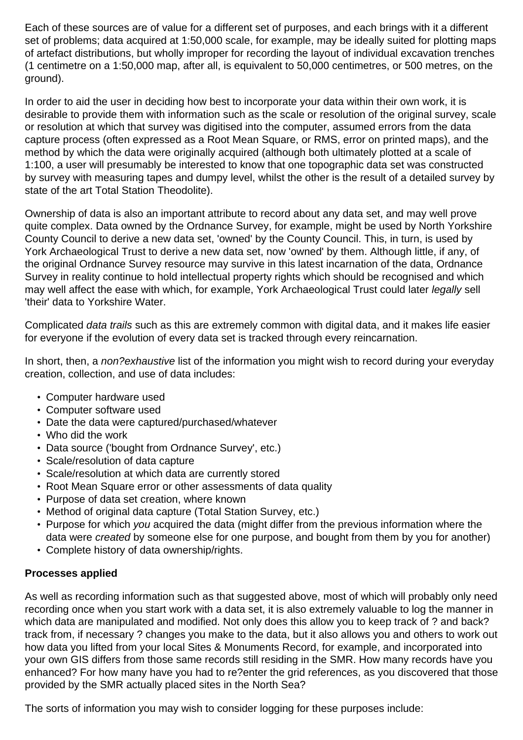Each of these sources are of value for a different set of purposes, and each brings with it a different set of problems; data acquired at 1:50,000 scale, for example, may be ideally suited for plotting maps of artefact distributions, but wholly improper for recording the layout of individual excavation trenches (1 centimetre on a 1:50,000 map, after all, is equivalent to 50,000 centimetres, or 500 metres, on the ground).

In order to aid the user in deciding how best to incorporate your data within their own work, it is desirable to provide them with information such as the scale or resolution of the original survey, scale or resolution at which that survey was digitised into the computer, assumed errors from the data capture process (often expressed as a Root Mean Square, or RMS, error on printed maps), and the method by which the data were originally acquired (although both ultimately plotted at a scale of 1:100, a user will presumably be interested to know that one topographic data set was constructed by survey with measuring tapes and dumpy level, whilst the other is the result of a detailed survey by state of the art Total Station Theodolite).

Ownership of data is also an important attribute to record about any data set, and may well prove quite complex. Data owned by the Ordnance Survey, for example, might be used by North Yorkshire County Council to derive a new data set, 'owned' by the County Council. This, in turn, is used by York Archaeological Trust to derive a new data set, now 'owned' by them. Although little, if any, of the original Ordnance Survey resource may survive in this latest incarnation of the data, Ordnance Survey in reality continue to hold intellectual property rights which should be recognised and which may well affect the ease with which, for example, York Archaeological Trust could later legally sell 'their' data to Yorkshire Water.

Complicated data trails such as this are extremely common with digital data, and it makes life easier for everyone if the evolution of every data set is tracked through every reincarnation.

In short, then, a non?exhaustive list of the information you might wish to record during your everyday creation, collection, and use of data includes:

- Computer hardware used
- Computer software used
- Date the data were captured/purchased/whatever
- Who did the work
- Data source ('bought from Ordnance Survey', etc.)
- Scale/resolution of data capture
- Scale/resolution at which data are currently stored
- Root Mean Square error or other assessments of data quality
- Purpose of data set creation, where known
- Method of original data capture (Total Station Survey, etc.)
- Purpose for which you acquired the data (might differ from the previous information where the data were created by someone else for one purpose, and bought from them by you for another)
- Complete history of data ownership/rights.

# **Processes applied**

As well as recording information such as that suggested above, most of which will probably only need recording once when you start work with a data set, it is also extremely valuable to log the manner in which data are manipulated and modified. Not only does this allow you to keep track of ? and back? track from, if necessary ? changes you make to the data, but it also allows you and others to work out how data you lifted from your local Sites & Monuments Record, for example, and incorporated into your own GIS differs from those same records still residing in the SMR. How many records have you enhanced? For how many have you had to re?enter the grid references, as you discovered that those provided by the SMR actually placed sites in the North Sea?

The sorts of information you may wish to consider logging for these purposes include: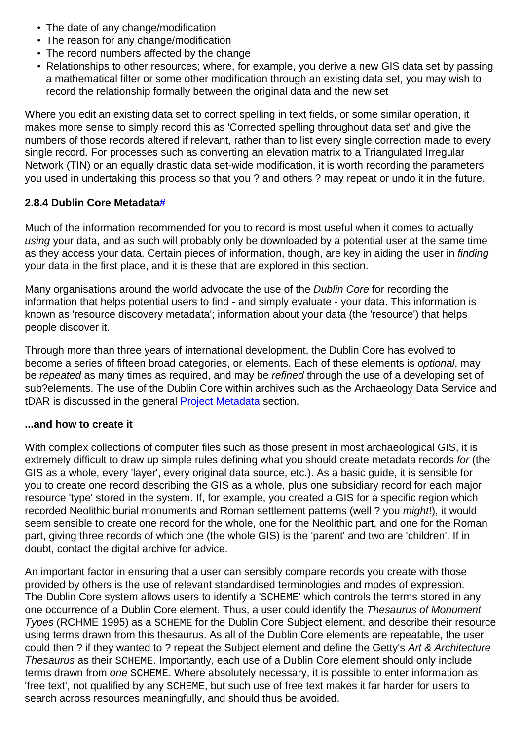- The date of any change/modification
- The reason for any change/modification
- The record numbers affected by the change
- Relationships to other resources; where, for example, you derive a new GIS data set by passing a mathematical filter or some other modification through an existing data set, you may wish to record the relationship formally between the original data and the new set

Where you edit an existing data set to correct spelling in text fields, or some similar operation, it makes more sense to simply record this as 'Corrected spelling throughout data set' and give the numbers of those records altered if relevant, rather than to list every single correction made to every single record. For processes such as converting an elevation matrix to a Triangulated Irregular Network (TIN) or an equally drastic data set-wide modification, it is worth recording the parameters you used in undertaking this process so that you ? and others ? may repeat or undo it in the future.

# **2.8.4 Dublin Core Metadata[#](https://guides.archaeologydataservice.ac.uk:443/#section-Gis_2-8-2.8.4DublinCoreMetadata)**

Much of the information recommended for you to record is most useful when it comes to actually using your data, and as such will probably only be downloaded by a potential user at the same time as they access your data. Certain pieces of information, though, are key in aiding the user in finding your data in the first place, and it is these that are explored in this section.

Many organisations around the world advocate the use of the Dublin Core for recording the information that helps potential users to find - and simply evaluate - your data. This information is known as 'resource discovery metadata'; information about your data (the 'resource') that helps people discover it.

Through more than three years of international development, the Dublin Core has evolved to become a series of fifteen broad categories, or elements. Each of these elements is optional, may be repeated as many times as required, and may be refined through the use of a developing set of sub?elements. The use of the Dublin Core within archives such as the Archaeology Data Service and tDAR is discussed in the general [Project Metadata](https://guides.archaeologydataservice.ac.uk:443//g2gp/CreateData_1-2) section.

# **...and how to create it**

With complex collections of computer files such as those present in most archaeological GIS, it is extremely difficult to draw up simple rules defining what you should create metadata records for (the GIS as a whole, every 'layer', every original data source, etc.). As a basic guide, it is sensible for you to create one record describing the GIS as a whole, plus one subsidiary record for each major resource 'type' stored in the system. If, for example, you created a GIS for a specific region which recorded Neolithic burial monuments and Roman settlement patterns (well ? you *might*!), it would seem sensible to create one record for the whole, one for the Neolithic part, and one for the Roman part, giving three records of which one (the whole GIS) is the 'parent' and two are 'children'. If in doubt, contact the digital archive for advice.

An important factor in ensuring that a user can sensibly compare records you create with those provided by others is the use of relevant standardised terminologies and modes of expression. The Dublin Core system allows users to identify a 'SCHEME' which controls the terms stored in any one occurrence of a Dublin Core element. Thus, a user could identify the Thesaurus of Monument Types (RCHME 1995) as a SCHEME for the Dublin Core Subject element, and describe their resource using terms drawn from this thesaurus. As all of the Dublin Core elements are repeatable, the user could then ? if they wanted to ? repeat the Subject element and define the Getty's Art & Architecture Thesaurus as their SCHEME. Importantly, each use of a Dublin Core element should only include terms drawn from one SCHEME. Where absolutely necessary, it is possible to enter information as 'free text', not qualified by any SCHEME, but such use of free text makes it far harder for users to search across resources meaningfully, and should thus be avoided.